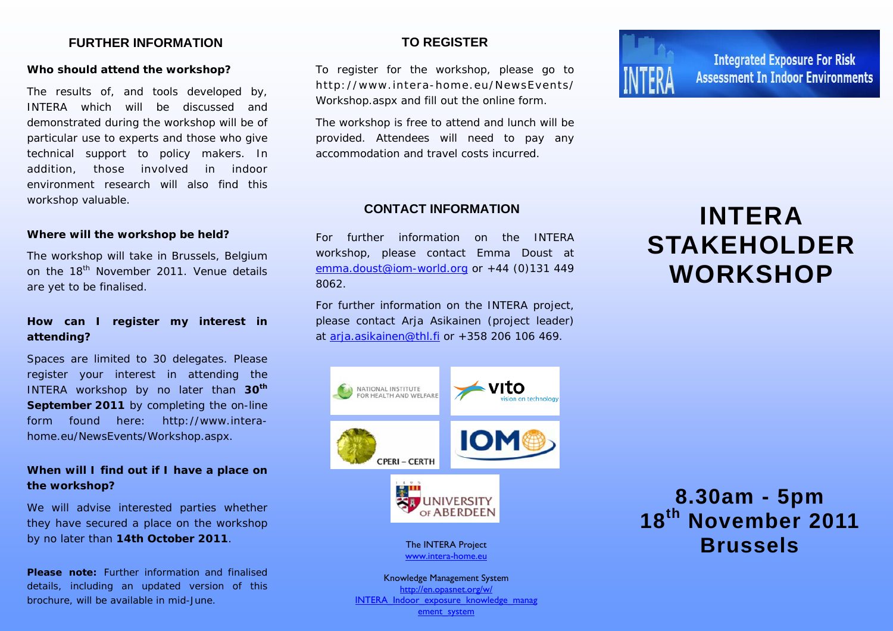### **FURTHER INFORMATION**

### *Who should attend the workshop?*

The results of, and tools developed by, INTERA which will be discussed and demonstrated during the workshop will be of particular use to experts and those who give technical support to policy makers. In addition, those involved in indoor environment research will also find this workshop valuable.

### *Where will the workshop be held?*

The workshop will take in Brussels, Belgium on the 18<sup>th</sup> November 2011. Venue details are yet to be finalised.

### *How can I register my interest in attending?*

Spaces are limited to 30 delegates. Please register your interest in attending the INTERA workshop by no later than **30th September 2011** by completing the on-line form found here: http://www.interahome.eu/NewsEvents/Workshop.aspx.

### *When will I find out if I have a place on the workshop?*

We will advise interested parties whether they have secured a place on the workshop by no later than **14th October 2011**.

**Please note:** Further information and finalised details, including an updated version of this brochure, will be available in mid-June.

### **TO REGISTER**

To register for the workshop, please go to http://www.intera-home.eu/NewsEvents/ Workshop.aspx and fill out the online form.

The workshop is free to attend and lunch will be provided. Attendees will need to pay any accommodation and travel costs incurred.

### **CONTACT INFORMATION**

For further information on the INTERA workshop, please contact Emma Doust at emma.doust@iom-world.org or +44 (0)131 449 8062.

For further information on the INTERA project, please contact Arja Asikainen (project leader) at arja.asikainen@thl.fi or +358 206 106 469.



ement\_system



**Integrated Exposure For Risk Assessment In Indoor Environments** 

# **INTERA STAKEHOLDER WORKSHOP**

## **8.30am - 5pm 18th November 2011 Brussels**